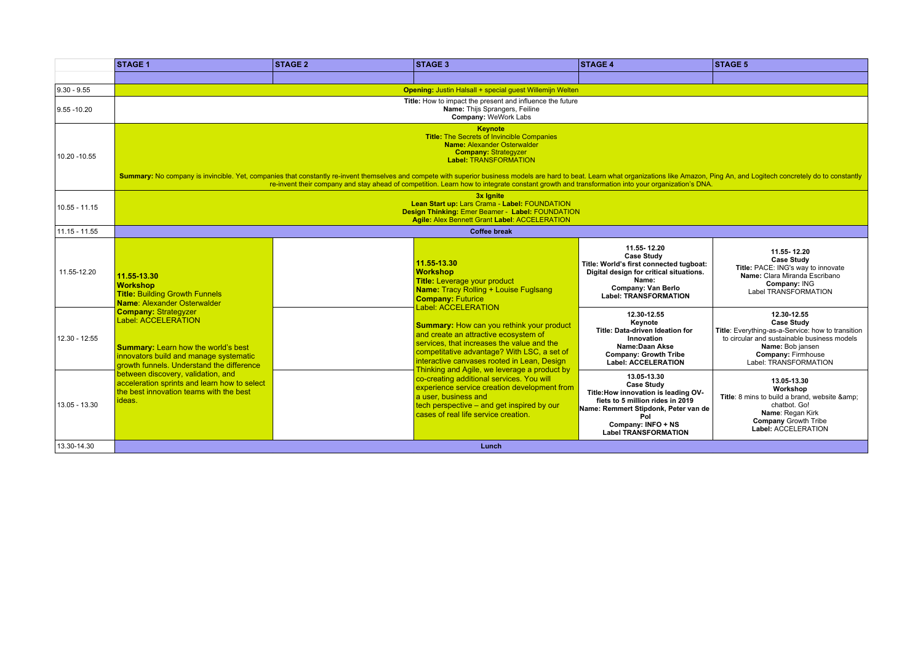|                 | <b>STAGE 1</b>                                                                                                                                                                                                                                                                                                                                                                                                                                                                                                                                               | <b>STAGE 2</b> | <b>STAGE 3</b>                                                                                                                                                                                                                                                                                                                                                                                                                                                                                                                                                                                                                                                                      | <b>STAGE 4</b>                                                                                                                                                                                                   | <b>STAGE 5</b>                                                                                                                                                                                          |  |  |  |
|-----------------|--------------------------------------------------------------------------------------------------------------------------------------------------------------------------------------------------------------------------------------------------------------------------------------------------------------------------------------------------------------------------------------------------------------------------------------------------------------------------------------------------------------------------------------------------------------|----------------|-------------------------------------------------------------------------------------------------------------------------------------------------------------------------------------------------------------------------------------------------------------------------------------------------------------------------------------------------------------------------------------------------------------------------------------------------------------------------------------------------------------------------------------------------------------------------------------------------------------------------------------------------------------------------------------|------------------------------------------------------------------------------------------------------------------------------------------------------------------------------------------------------------------|---------------------------------------------------------------------------------------------------------------------------------------------------------------------------------------------------------|--|--|--|
|                 |                                                                                                                                                                                                                                                                                                                                                                                                                                                                                                                                                              |                |                                                                                                                                                                                                                                                                                                                                                                                                                                                                                                                                                                                                                                                                                     |                                                                                                                                                                                                                  |                                                                                                                                                                                                         |  |  |  |
| $9.30 - 9.55$   | Opening: Justin Halsall + special guest Willemijn Welten                                                                                                                                                                                                                                                                                                                                                                                                                                                                                                     |                |                                                                                                                                                                                                                                                                                                                                                                                                                                                                                                                                                                                                                                                                                     |                                                                                                                                                                                                                  |                                                                                                                                                                                                         |  |  |  |
| 9.55 - 10.20    | Title: How to impact the present and influence the future<br>Name: Thijs Sprangers, Feiline<br>Company: WeWork Labs                                                                                                                                                                                                                                                                                                                                                                                                                                          |                |                                                                                                                                                                                                                                                                                                                                                                                                                                                                                                                                                                                                                                                                                     |                                                                                                                                                                                                                  |                                                                                                                                                                                                         |  |  |  |
| 10.20 - 10.55   | <b>Keynote</b><br><b>Title:</b> The Secrets of Invincible Companies<br><b>Name: Alexander Osterwalder</b><br><b>Company: Strategyzer</b><br><b>Label: TRANSFORMATION</b><br>Summary: No company is invincible. Yet, companies that constantly re-invent themselves and compete with superior business models are hard to beat. Learn what organizations like Amazon, Ping An, and Logitech concretely do t<br>re-invent their company and stay ahead of competition. Learn how to integrate constant growth and transformation into your organization's DNA. |                |                                                                                                                                                                                                                                                                                                                                                                                                                                                                                                                                                                                                                                                                                     |                                                                                                                                                                                                                  |                                                                                                                                                                                                         |  |  |  |
| $10.55 - 11.15$ | 3x Ignite<br>Lean Start up: Lars Crama - Label: FOUNDATION<br>Design Thinking: Emer Beamer - Label: FOUNDATION<br><b>Agile: Alex Bennett Grant Label: ACCELERATION</b>                                                                                                                                                                                                                                                                                                                                                                                       |                |                                                                                                                                                                                                                                                                                                                                                                                                                                                                                                                                                                                                                                                                                     |                                                                                                                                                                                                                  |                                                                                                                                                                                                         |  |  |  |
| 11.15 - 11.55   |                                                                                                                                                                                                                                                                                                                                                                                                                                                                                                                                                              |                | <b>Coffee break</b>                                                                                                                                                                                                                                                                                                                                                                                                                                                                                                                                                                                                                                                                 |                                                                                                                                                                                                                  |                                                                                                                                                                                                         |  |  |  |
| 11.55-12.20     | 11.55-13.30<br><b>Workshop</b><br><b>Title: Building Growth Funnels</b><br>Name: Alexander Osterwalder<br><b>Company: Strategyzer</b><br>Label: ACCELERATION<br><b>Summary:</b> Learn how the world's best<br>innovators build and manage systematic<br>growth funnels. Understand the difference<br>between discovery, validation, and<br>acceleration sprints and learn how to select<br>the best innovation teams with the best<br>ideas.                                                                                                                 |                | 11.55-13.30<br><b>Workshop</b><br><b>Title:</b> Leverage your product<br><b>Name: Tracy Rolling + Louise Fuglsang</b><br><b>Company: Futurice</b><br><b>Label: ACCELERATION</b><br><b>Summary: How can you rethink your product</b><br>and create an attractive ecosystem of<br>services, that increases the value and the<br>competitative advantage? With LSC, a set of<br>interactive canvases rooted in Lean, Design<br>Thinking and Agile, we leverage a product by<br>co-creating additional services. You will<br>experience service creation development from<br>a user, business and<br>tech perspective – and get inspired by our<br>cases of real life service creation. | 11.55-12.20<br><b>Case Study</b><br>Title: World's first connected tugboat:<br>Digital design for critical situations.<br>Name:<br>Company: Van Berlo<br><b>Label: TRANSFORMATION</b>                            | 11.55-12.20<br><b>Case Study</b><br>Title: PACE: ING's way to innovate<br>Name: Clara Miranda Escribano<br>Company: ING<br>Label TRANSFORMATION                                                         |  |  |  |
| 12.30 - 12:55   |                                                                                                                                                                                                                                                                                                                                                                                                                                                                                                                                                              |                |                                                                                                                                                                                                                                                                                                                                                                                                                                                                                                                                                                                                                                                                                     | 12.30-12.55<br>Kevnote<br><b>Title: Data-driven Ideation for</b><br>Innovation<br>Name:Daan Akse<br><b>Company: Growth Tribe</b><br><b>Label: ACCELERATION</b>                                                   | 12.30-12.55<br><b>Case Study</b><br>Title: Everything-as-a-Service: how to transition<br>to circular and sustainable business models<br>Name: Bob jansen<br>Company: Firmhouse<br>Label: TRANSFORMATION |  |  |  |
| 13.05 - 13.30   |                                                                                                                                                                                                                                                                                                                                                                                                                                                                                                                                                              |                |                                                                                                                                                                                                                                                                                                                                                                                                                                                                                                                                                                                                                                                                                     | 13.05-13.30<br><b>Case Study</b><br>Title: How innovation is leading OV-<br>fiets to 5 million rides in 2019<br>Name: Remmert Stipdonk, Peter van de<br>Pol<br>Company: INFO + NS<br><b>Label TRANSFORMATION</b> | 13.05-13.30<br>Workshop<br>Title: 8 mins to build a brand, website &<br>chatbot. Go!<br>Name: Regan Kirk<br><b>Company Growth Tribe</b><br>Label: ACCELERATION                                          |  |  |  |
| 13.30-14.30     | <b>Lunch</b>                                                                                                                                                                                                                                                                                                                                                                                                                                                                                                                                                 |                |                                                                                                                                                                                                                                                                                                                                                                                                                                                                                                                                                                                                                                                                                     |                                                                                                                                                                                                                  |                                                                                                                                                                                                         |  |  |  |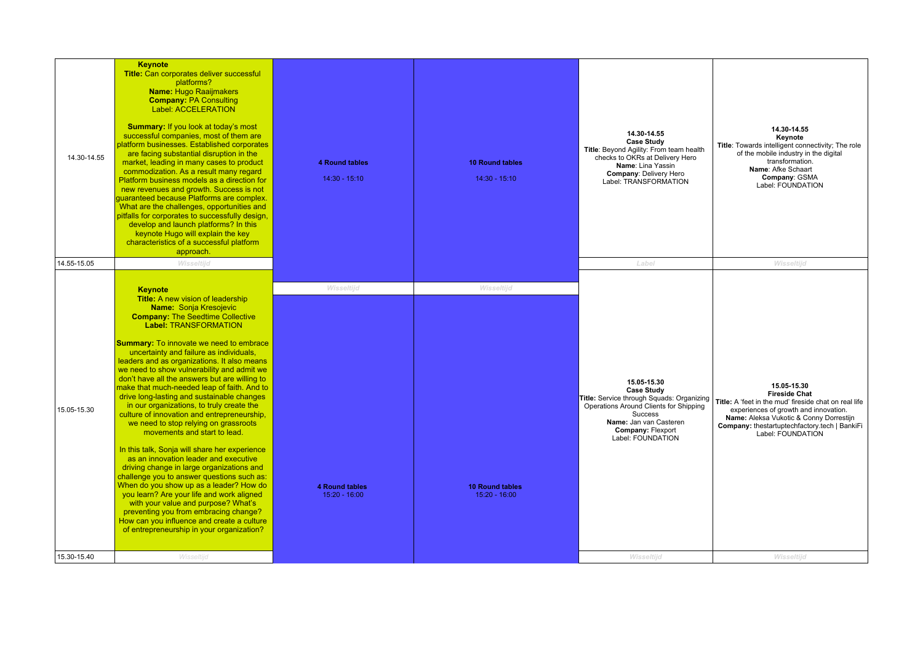| 14.30-14.55<br>14.55-15.05 | <b>Keynote</b><br><b>Title:</b> Can corporates deliver successful<br>platforms?<br><b>Name: Hugo Raaijmakers</b><br><b>Company: PA Consulting</b><br><b>Label: ACCELERATION</b><br><b>Summary:</b> If you look at today's most<br>successful companies, most of them are<br>olatform businesses. Established corporates<br>are facing substantial disruption in the<br>market, leading in many cases to product<br>commodization. As a result many regard<br>Platform business models as a direction for<br>new revenues and growth. Success is not<br>quaranteed because Platforms are complex.<br>What are the challenges, opportunities and<br>pitfalls for corporates to successfully design,<br>develop and launch platforms? In this<br>keynote Hugo will explain the key<br>characteristics of a successful platform<br>approach.<br>Wisseltijd                                                                                                                                                                                                                                                                                      | <b>4 Round tables</b><br>$14:30 - 15:10$               | <b>10 Round tables</b><br>$14:30 - 15:10$               | 14.30-14.55<br><b>Case Study</b><br>Title: Beyond Agility: From team health<br>checks to OKRs at Delivery Hero<br>Name: Lina Yassin<br>Company: Delivery Hero<br>Label: TRANSFORMATION<br>Label                      | 14.30-14.55<br>Keynote<br>Title: Towards intelligent connectivity; The role<br>of the mobile industry in the digital<br>transformation.<br>Name: Afke Schaart<br>Company: GSMA<br>Label: FOUNDATION<br>Wisseltijd                                      |
|----------------------------|---------------------------------------------------------------------------------------------------------------------------------------------------------------------------------------------------------------------------------------------------------------------------------------------------------------------------------------------------------------------------------------------------------------------------------------------------------------------------------------------------------------------------------------------------------------------------------------------------------------------------------------------------------------------------------------------------------------------------------------------------------------------------------------------------------------------------------------------------------------------------------------------------------------------------------------------------------------------------------------------------------------------------------------------------------------------------------------------------------------------------------------------|--------------------------------------------------------|---------------------------------------------------------|----------------------------------------------------------------------------------------------------------------------------------------------------------------------------------------------------------------------|--------------------------------------------------------------------------------------------------------------------------------------------------------------------------------------------------------------------------------------------------------|
| 15.05-15.30                | <b>Keynote</b><br><b>Title:</b> A new vision of leadership<br><b>Name: Sonja Kresojevic</b><br><b>Company: The Seedtime Collective</b><br><b>Label: TRANSFORMATION</b><br><b>Summary:</b> To innovate we need to embrace<br>uncertainty and failure as individuals.<br>leaders and as organizations. It also means<br>we need to show vulnerability and admit we<br>don't have all the answers but are willing to<br>make that much-needed leap of faith. And to<br>drive long-lasting and sustainable changes<br>in our organizations, to truly create the<br>culture of innovation and entrepreneurship,<br>we need to stop relying on grassroots<br>movements and start to lead.<br>In this talk, Sonja will share her experience<br>as an innovation leader and executive<br>driving change in large organizations and<br>challenge you to answer questions such as:<br>When do you show up as a leader? How do<br>you learn? Are your life and work aligned<br>with your value and purpose? What's<br>preventing you from embracing change?<br>How can you influence and create a culture<br>of entrepreneurship in your organization? | Wisseltijd<br><b>4 Round tables</b><br>$15:20 - 16:00$ | Wisseltijd<br><b>10 Round tables</b><br>$15:20 - 16:00$ | 15.05-15.30<br><b>Case Study</b><br>Title: Service through Squads: Organizing<br>Operations Around Clients for Shipping<br><b>Success</b><br>Name: Jan van Casteren<br><b>Company: Flexport</b><br>Label: FOUNDATION | 15.05-15.30<br><b>Fireside Chat</b><br>Title: A 'feet in the mud' fireside chat on real life<br>experiences of growth and innovation.<br>Name: Aleksa Vukotic & Conny Dorrestijn<br>Company: thestartuptechfactory.tech   BankiFi<br>Label: FOUNDATION |
| 15.30-15.40                | Wisseltiid                                                                                                                                                                                                                                                                                                                                                                                                                                                                                                                                                                                                                                                                                                                                                                                                                                                                                                                                                                                                                                                                                                                                  |                                                        |                                                         | Wisseltiid                                                                                                                                                                                                           | Wisseltiid                                                                                                                                                                                                                                             |